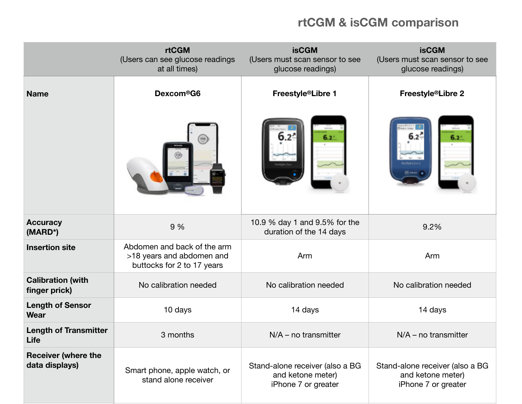## **rtCGM & isCGM comparison**

|                                              | <b>rtCGM</b><br>(Users can see glucose readings<br>at all times)                       | <b>isCGM</b><br>(Users must scan sensor to see<br>glucose readings)         | <b>isCGM</b><br>(Users must scan sensor to see<br>glucose readings)         |
|----------------------------------------------|----------------------------------------------------------------------------------------|-----------------------------------------------------------------------------|-----------------------------------------------------------------------------|
| <b>Name</b>                                  | Dexcom <sup>®</sup> G6                                                                 | Freestyle <sup>®</sup> Libre 1                                              | Freestyle®Libre 2                                                           |
|                                              | $\begin{pmatrix} 110 \\ -1 \end{pmatrix}$                                              | $6.2^{\circ}$                                                               | $6.2^{\circ}$                                                               |
| <b>Accuracy</b><br>(MARD*)                   | 9 %                                                                                    | 10.9 % day 1 and 9.5% for the<br>duration of the 14 days                    | 9.2%                                                                        |
| <b>Insertion site</b>                        | Abdomen and back of the arm<br>>18 years and abdomen and<br>buttocks for 2 to 17 years | Arm                                                                         | Arm                                                                         |
| <b>Calibration (with</b><br>finger prick)    | No calibration needed                                                                  | No calibration needed                                                       | No calibration needed                                                       |
| <b>Length of Sensor</b><br>Wear              | 10 days                                                                                | 14 days                                                                     | 14 days                                                                     |
| <b>Length of Transmitter</b><br>Life         | 3 months                                                                               | $N/A$ – no transmitter                                                      | $N/A$ – no transmitter                                                      |
| <b>Receiver (where the</b><br>data displays) | Smart phone, apple watch, or<br>stand alone receiver                                   | Stand-alone receiver (also a BG<br>and ketone meter)<br>iPhone 7 or greater | Stand-alone receiver (also a BG<br>and ketone meter)<br>iPhone 7 or greater |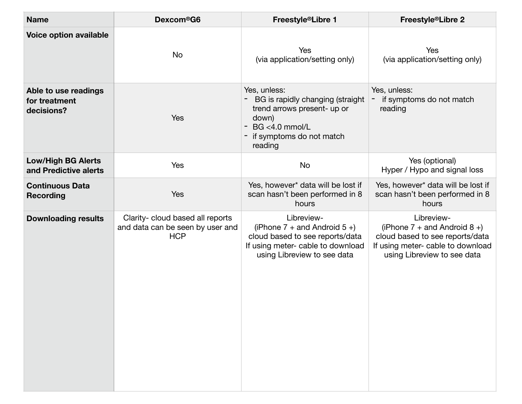| <b>Name</b>                                         | Dexcom <sup>®</sup> G6                                                             | Freestyle®Libre 1                                                                                                                                      | Freestyle <sup>®</sup> Libre 2                                                                                                                         |
|-----------------------------------------------------|------------------------------------------------------------------------------------|--------------------------------------------------------------------------------------------------------------------------------------------------------|--------------------------------------------------------------------------------------------------------------------------------------------------------|
| Voice option available                              | No                                                                                 | Yes<br>(via application/setting only)                                                                                                                  | Yes<br>(via application/setting only)                                                                                                                  |
| Able to use readings<br>for treatment<br>decisions? | <b>Yes</b>                                                                         | Yes, unless:<br>BG is rapidly changing (straight<br>trend arrows present- up or<br>down)<br>- BG <4.0 mmol/L<br>- if symptoms do not match<br>reading  | Yes, unless:<br>if symptoms do not match<br>reading                                                                                                    |
| <b>Low/High BG Alerts</b><br>and Predictive alerts  | Yes                                                                                | <b>No</b>                                                                                                                                              | Yes (optional)<br>Hyper / Hypo and signal loss                                                                                                         |
| <b>Continuous Data</b><br><b>Recording</b>          | Yes                                                                                | Yes, however* data will be lost if<br>scan hasn't been performed in 8<br>hours                                                                         | Yes, however* data will be lost if<br>scan hasn't been performed in 8<br>hours                                                                         |
| <b>Downloading results</b>                          | Clarity- cloud based all reports<br>and data can be seen by user and<br><b>HCP</b> | Libreview-<br>(iPhone $7 +$ and Android $5 +$ )<br>cloud based to see reports/data<br>If using meter- cable to download<br>using Libreview to see data | Libreview-<br>(iPhone $7 +$ and Android $8 +$ )<br>cloud based to see reports/data<br>If using meter- cable to download<br>using Libreview to see data |